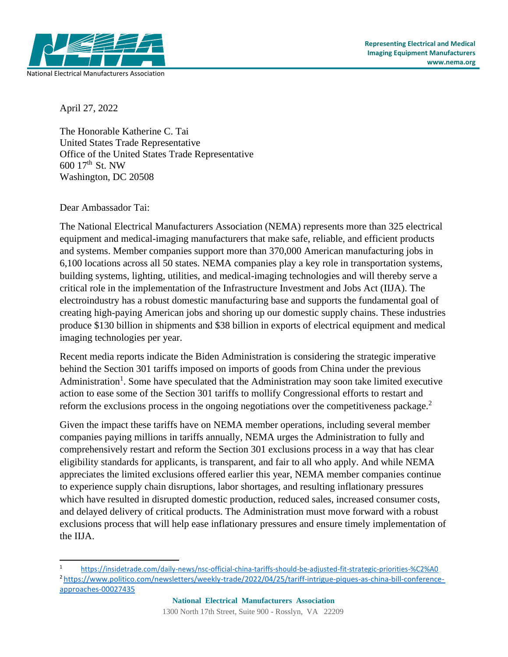

April 27, 2022

The Honorable Katherine C. Tai United States Trade Representative Office of the United States Trade Representative 600 17th St. NW Washington, DC 20508

Dear Ambassador Tai:

The National Electrical Manufacturers Association (NEMA) represents more than 325 electrical equipment and medical-imaging manufacturers that make safe, reliable, and efficient products and systems. Member companies support more than 370,000 American manufacturing jobs in 6,100 locations across all 50 states. NEMA companies play a key role in transportation systems, building systems, lighting, utilities, and medical-imaging technologies and will thereby serve a critical role in the implementation of the Infrastructure Investment and Jobs Act (IIJA). The electroindustry has a robust domestic manufacturing base and supports the fundamental goal of creating high-paying American jobs and shoring up our domestic supply chains. These industries produce \$130 billion in shipments and \$38 billion in exports of electrical equipment and medical imaging technologies per year.

Recent media reports indicate the Biden Administration is considering the strategic imperative behind the Section 301 tariffs imposed on imports of goods from China under the previous Administration<sup>1</sup>. Some have speculated that the Administration may soon take limited executive action to ease some of the Section 301 tariffs to mollify Congressional efforts to restart and reform the exclusions process in the ongoing negotiations over the competitiveness package.<sup>2</sup>

Given the impact these tariffs have on NEMA member operations, including several member companies paying millions in tariffs annually, NEMA urges the Administration to fully and comprehensively restart and reform the Section 301 exclusions process in a way that has clear eligibility standards for applicants, is transparent, and fair to all who apply. And while NEMA appreciates the limited exclusions offered earlier this year, NEMA member companies continue to experience supply chain disruptions, labor shortages, and resulting inflationary pressures which have resulted in disrupted domestic production, reduced sales, increased consumer costs, and delayed delivery of critical products. The Administration must move forward with a robust exclusions process that will help ease inflationary pressures and ensure timely implementation of the IIJA.

<sup>1</sup><https://insidetrade.com/daily-news/nsc-official-china-tariffs-should-be-adjusted-fit-strategic-priorities-%C2%A0> 2 [https://www.politico.com/newsletters/weekly-trade/2022/04/25/tariff-intrigue-piques-as-china-bill-conference](https://www.politico.com/newsletters/weekly-trade/2022/04/25/tariff-intrigue-piques-as-china-bill-conference-approaches-00027435)[approaches-00027435](https://www.politico.com/newsletters/weekly-trade/2022/04/25/tariff-intrigue-piques-as-china-bill-conference-approaches-00027435)